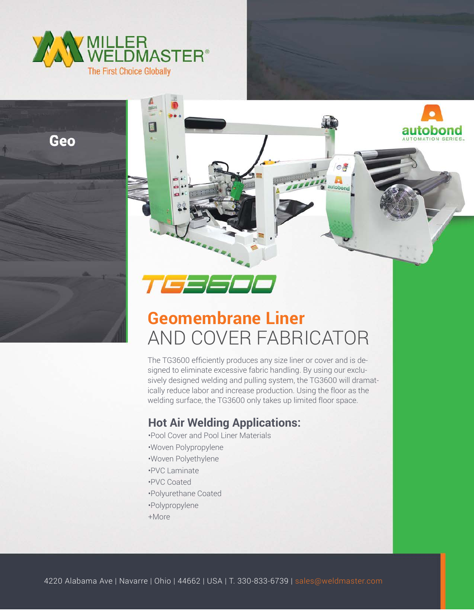







## **Geomembrane Liner** AND COVER FABRICATOR

The TG3600 efficiently produces any size liner or cover and is designed to eliminate excessive fabric handling. By using our exclusively designed welding and pulling system, the TG3600 will dramatically reduce labor and increase production. Using the floor as the welding surface, the TG3600 only takes up limited floor space.

## **Hot Air Welding Applications:**

•Pool Cover and Pool Liner Materials •Woven Polypropylene •Woven Polyethylene •PVC Laminate •PVC Coated •Polyurethane Coated •Polypropylene +More